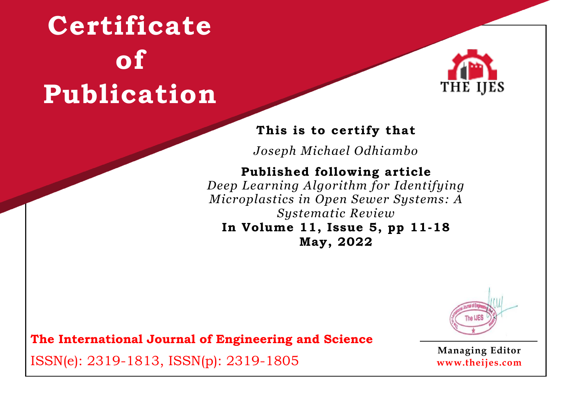

### **This is to certify that**

*Joseph Michael Odhiambo*

## **Published following article**

*Deep Learning Algorithm for Identifying Microplastics in Open Sewer Systems: A Systematic Review*

#### **In Volume 11, Issue 5, pp 11-18 May, 2022**



**The International Journal of Engineering and Science**

ISSN(e): 2319-1813, ISSN(p): 2319-1805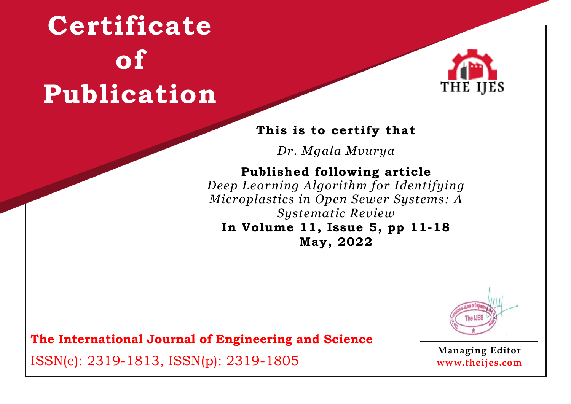

#### **This is to certify that**

*Dr. Mgala Mvurya*

### **Published following article**

*Deep Learning Algorithm for Identifying Microplastics in Open Sewer Systems: A Systematic Review* **In Volume 11, Issue 5, pp 11-18**

**May, 2022**



**The International Journal of Engineering and Science**

ISSN(e): 2319-1813, ISSN(p): 2319-1805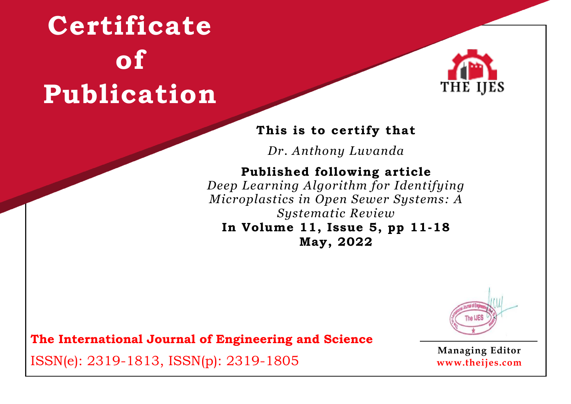

#### **This is to certify that**

*Dr. Anthony Luvanda*

### **Published following article**

*Deep Learning Algorithm for Identifying Microplastics in Open Sewer Systems: A Systematic Review* **In Volume 11, Issue 5, pp 11-18**

**May, 2022**



**The International Journal of Engineering and Science**

ISSN(e): 2319-1813, ISSN(p): 2319-1805